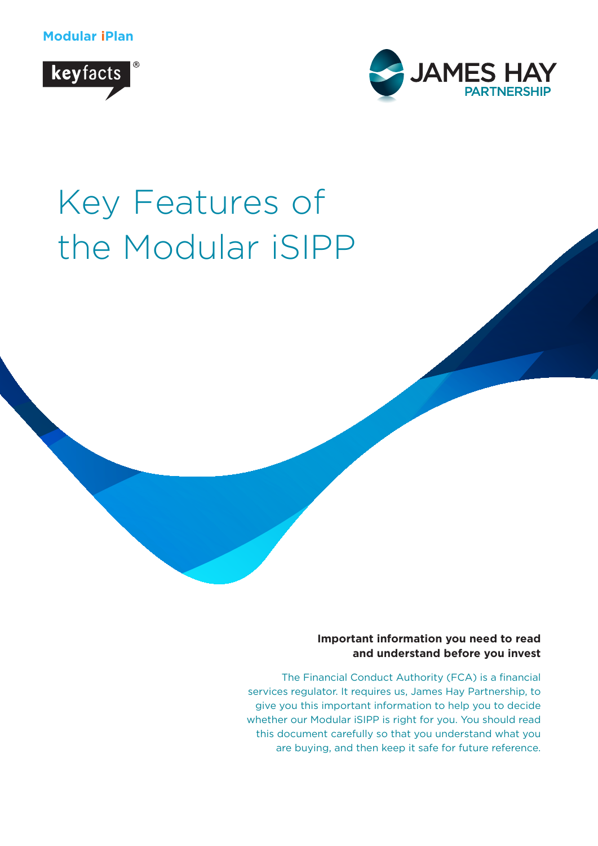**Modular iPlan**





# Key Features of the Modular iSIPP



The Financial Conduct Authority (FCA) is a financial services regulator. It requires us, James Hay Partnership, to give you this important information to help you to decide whether our Modular iSIPP is right for you. You should read this document carefully so that you understand what you are buying, and then keep it safe for future reference.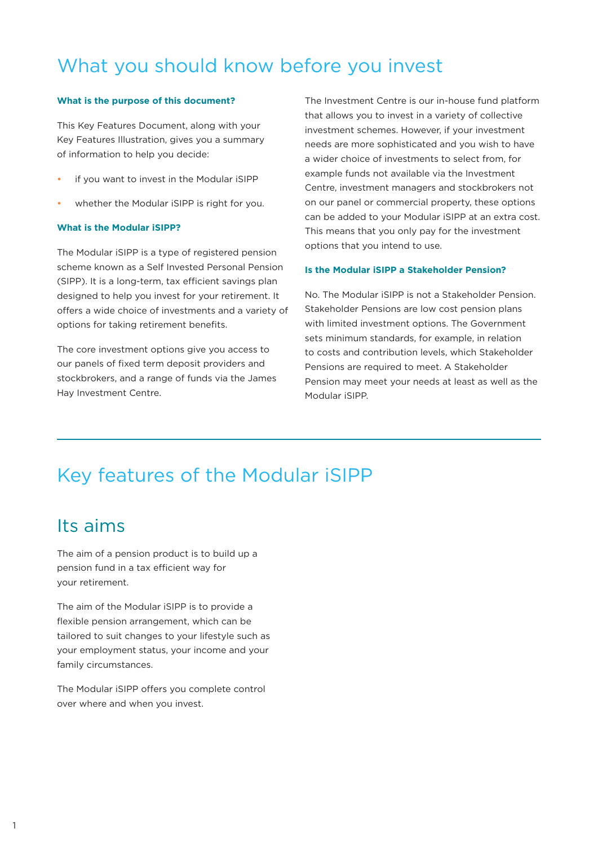# What you should know before you invest

#### **What is the purpose of this document?**

This Key Features Document, along with your Key Features Illustration, gives you a summary of information to help you decide:

- if you want to invest in the Modular iSIPP
- whether the Modular iSIPP is right for you.

#### **What is the Modular iSIPP?**

The Modular iSIPP is a type of registered pension scheme known as a Self Invested Personal Pension (SIPP). It is a long-term, tax efficient savings plan designed to help you invest for your retirement. It offers a wide choice of investments and a variety of options for taking retirement benefits.

The core investment options give you access to our panels of fixed term deposit providers and stockbrokers, and a range of funds via the James Hay Investment Centre.

The Investment Centre is our in-house fund platform that allows you to invest in a variety of collective investment schemes. However, if your investment needs are more sophisticated and you wish to have a wider choice of investments to select from, for example funds not available via the Investment Centre, investment managers and stockbrokers not on our panel or commercial property, these options can be added to your Modular iSIPP at an extra cost. This means that you only pay for the investment options that you intend to use.

#### **Is the Modular iSIPP a Stakeholder Pension?**

No. The Modular iSIPP is not a Stakeholder Pension. Stakeholder Pensions are low cost pension plans with limited investment options. The Government sets minimum standards, for example, in relation to costs and contribution levels, which Stakeholder Pensions are required to meet. A Stakeholder Pension may meet your needs at least as well as the Modular iSIPP.

# Key features of the Modular iSIPP

## Its aims

The aim of a pension product is to build up a pension fund in a tax efficient way for your retirement.

The aim of the Modular iSIPP is to provide a flexible pension arrangement, which can be tailored to suit changes to your lifestyle such as your employment status, your income and your family circumstances.

The Modular iSIPP offers you complete control over where and when you invest.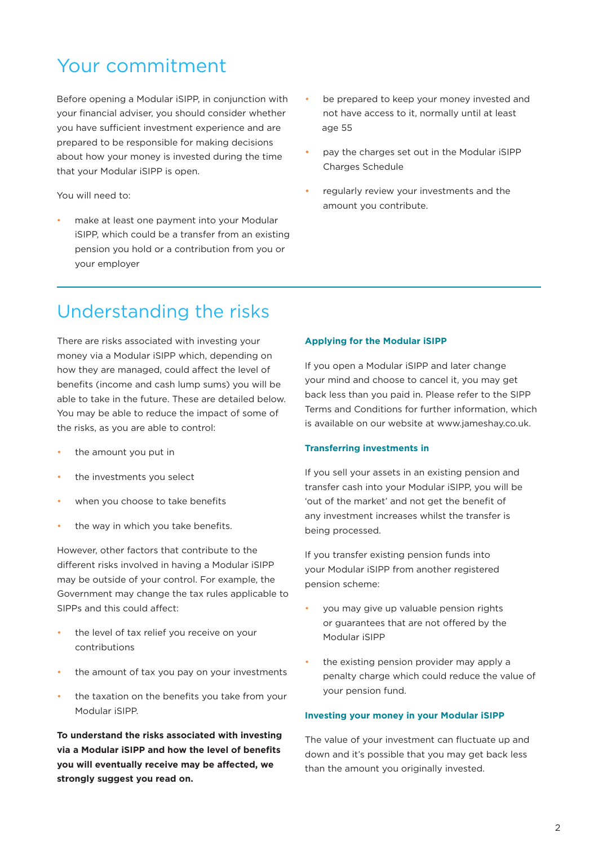# Your commitment

Before opening a Modular iSIPP, in conjunction with your financial adviser, you should consider whether you have sufficient investment experience and are prepared to be responsible for making decisions about how your money is invested during the time that your Modular iSIPP is open.

You will need to:

- make at least one payment into your Modular iSIPP, which could be a transfer from an existing pension you hold or a contribution from you or your employer
- be prepared to keep your money invested and not have access to it, normally until at least age 55
- pay the charges set out in the Modular iSIPP Charges Schedule
- regularly review your investments and the amount you contribute.

# Understanding the risks

There are risks associated with investing your money via a Modular iSIPP which, depending on how they are managed, could affect the level of benefits (income and cash lump sums) you will be able to take in the future. These are detailed below. You may be able to reduce the impact of some of the risks, as you are able to control:

- the amount you put in
- the investments you select
- when you choose to take benefits
- the way in which you take benefits.

However, other factors that contribute to the different risks involved in having a Modular iSIPP may be outside of your control. For example, the Government may change the tax rules applicable to SIPPs and this could affect:

- the level of tax relief you receive on your contributions
- the amount of tax you pay on your investments
- the taxation on the benefits you take from your Modular iSIPP.

**To understand the risks associated with investing via a Modular iSIPP and how the level of benefits you will eventually receive may be affected, we strongly suggest you read on.**

#### **Applying for the Modular iSIPP**

If you open a Modular iSIPP and later change your mind and choose to cancel it, you may get back less than you paid in. Please refer to the SIPP Terms and Conditions for further information, which is available on our website at www.jameshay.co.uk.

#### **Transferring investments in**

If you sell your assets in an existing pension and transfer cash into your Modular iSIPP, you will be 'out of the market' and not get the benefit of any investment increases whilst the transfer is being processed.

If you transfer existing pension funds into your Modular iSIPP from another registered pension scheme:

- you may give up valuable pension rights or guarantees that are not offered by the Modular iSIPP
- the existing pension provider may apply a penalty charge which could reduce the value of your pension fund.

#### **Investing your money in your Modular iSIPP**

The value of your investment can fluctuate up and down and it's possible that you may get back less than the amount you originally invested.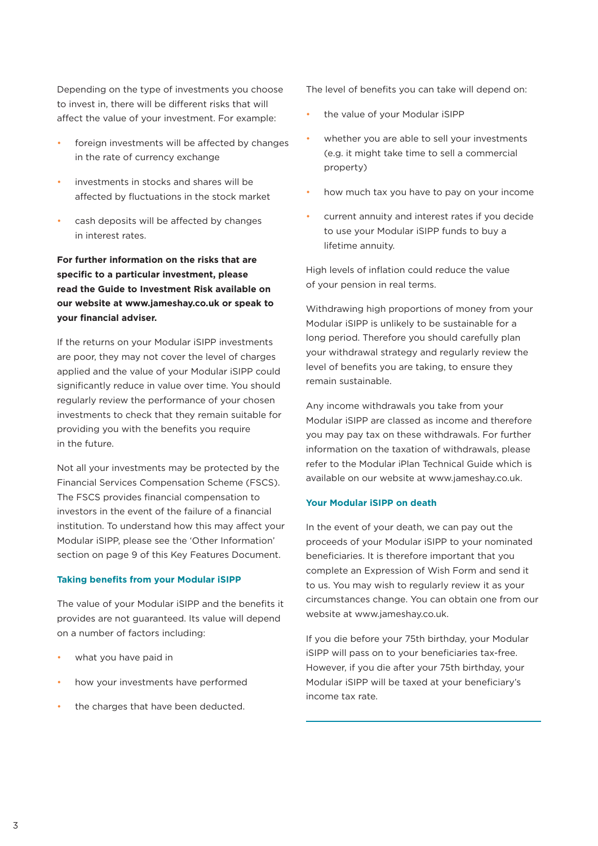Depending on the type of investments you choose to invest in, there will be different risks that will affect the value of your investment. For example:

- foreign investments will be affected by changes in the rate of currency exchange
- investments in stocks and shares will be affected by fluctuations in the stock market
- cash deposits will be affected by changes in interest rates.

**For further information on the risks that are specific to a particular investment, please read the Guide to Investment Risk available on our website at www.jameshay.co.uk or speak to your financial adviser.**

If the returns on your Modular iSIPP investments are poor, they may not cover the level of charges applied and the value of your Modular iSIPP could significantly reduce in value over time. You should regularly review the performance of your chosen investments to check that they remain suitable for providing you with the benefits you require in the future.

Not all your investments may be protected by the Financial Services Compensation Scheme (FSCS). The FSCS provides financial compensation to investors in the event of the failure of a financial institution. To understand how this may affect your Modular iSIPP, please see the 'Other Information' section on page 9 of this Key Features Document.

#### **Taking benefits from your Modular iSIPP**

The value of your Modular iSIPP and the benefits it provides are not guaranteed. Its value will depend on a number of factors including:

- what you have paid in
- how your investments have performed
- the charges that have been deducted.

The level of benefits you can take will depend on:

- the value of your Modular iSIPP
- whether you are able to sell your investments (e.g. it might take time to sell a commercial property)
- how much tax you have to pay on your income
- current annuity and interest rates if you decide to use your Modular iSIPP funds to buy a lifetime annuity.

High levels of inflation could reduce the value of your pension in real terms.

Withdrawing high proportions of money from your Modular iSIPP is unlikely to be sustainable for a long period. Therefore you should carefully plan your withdrawal strategy and regularly review the level of benefits you are taking, to ensure they remain sustainable.

Any income withdrawals you take from your Modular iSIPP are classed as income and therefore you may pay tax on these withdrawals. For further information on the taxation of withdrawals, please refer to the Modular iPlan Technical Guide which is available on our website at www.jameshay.co.uk.

#### **Your Modular iSIPP on death**

In the event of your death, we can pay out the proceeds of your Modular iSIPP to your nominated beneficiaries. It is therefore important that you complete an Expression of Wish Form and send it to us. You may wish to regularly review it as your circumstances change. You can obtain one from our website at www.jameshay.co.uk.

If you die before your 75th birthday, your Modular iSIPP will pass on to your beneficiaries tax-free. However, if you die after your 75th birthday, your Modular iSIPP will be taxed at your beneficiary's income tax rate.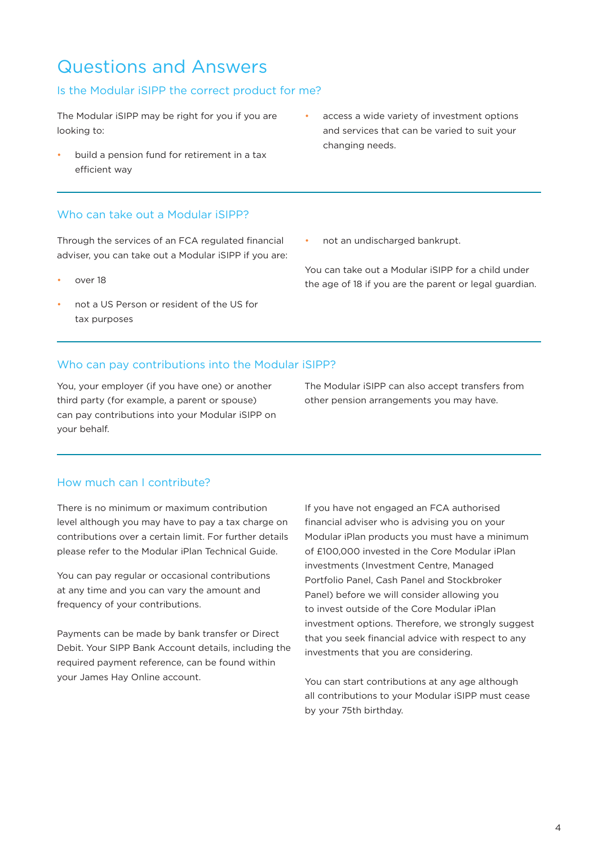# Questions and Answers

### Is the Modular iSIPP the correct product for me?

The Modular iSIPP may be right for you if you are looking to:

- build a pension fund for retirement in a tax efficient way
- access a wide variety of investment options and services that can be varied to suit your changing needs.

### Who can take out a Modular iSIPP?

Through the services of an FCA regulated financial adviser, you can take out a Modular iSIPP if you are:

- over 18
- not a US Person or resident of the US for tax purposes
- not an undischarged bankrupt.

You can take out a Modular iSIPP for a child under the age of 18 if you are the parent or legal guardian.

### Who can pay contributions into the Modular iSIPP?

You, your employer (if you have one) or another third party (for example, a parent or spouse) can pay contributions into your Modular iSIPP on your behalf.

The Modular iSIPP can also accept transfers from other pension arrangements you may have.

### How much can I contribute?

There is no minimum or maximum contribution level although you may have to pay a tax charge on contributions over a certain limit. For further details please refer to the Modular iPlan Technical Guide.

You can pay regular or occasional contributions at any time and you can vary the amount and frequency of your contributions.

Payments can be made by bank transfer or Direct Debit. Your SIPP Bank Account details, including the required payment reference, can be found within your James Hay Online account.

If you have not engaged an FCA authorised financial adviser who is advising you on your Modular iPlan products you must have a minimum of £100,000 invested in the Core Modular iPlan investments (Investment Centre, Managed Portfolio Panel, Cash Panel and Stockbroker Panel) before we will consider allowing you to invest outside of the Core Modular iPlan investment options. Therefore, we strongly suggest that you seek financial advice with respect to any investments that you are considering.

You can start contributions at any age although all contributions to your Modular iSIPP must cease by your 75th birthday.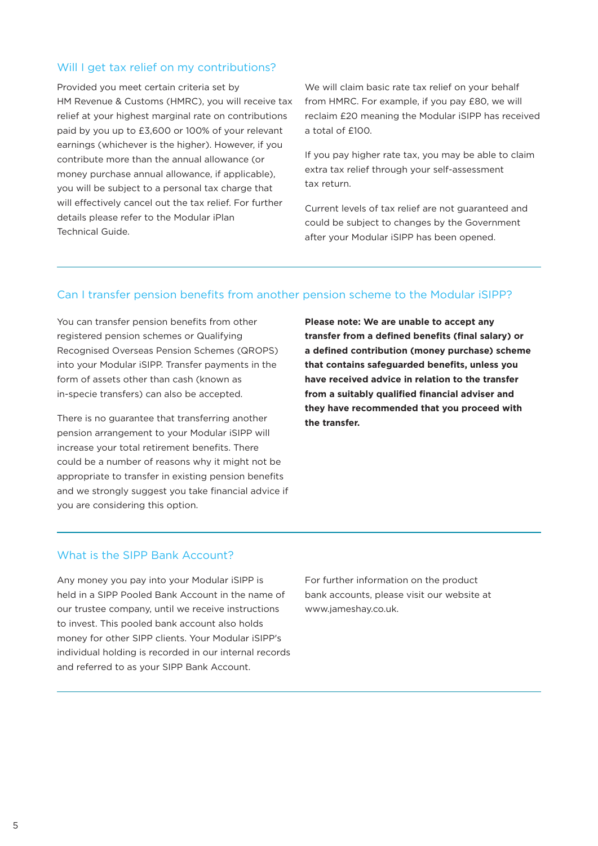#### Will I get tax relief on my contributions?

Provided you meet certain criteria set by HM Revenue & Customs (HMRC), you will receive tax relief at your highest marginal rate on contributions paid by you up to £3,600 or 100% of your relevant earnings (whichever is the higher). However, if you contribute more than the annual allowance (or money purchase annual allowance, if applicable), you will be subject to a personal tax charge that will effectively cancel out the tax relief. For further details please refer to the Modular iPlan Technical Guide.

We will claim basic rate tax relief on your behalf from HMRC. For example, if you pay £80, we will reclaim £20 meaning the Modular iSIPP has received a total of £100.

If you pay higher rate tax, you may be able to claim extra tax relief through your self-assessment tax return.

Current levels of tax relief are not guaranteed and could be subject to changes by the Government after your Modular iSIPP has been opened.

### Can I transfer pension benefits from another pension scheme to the Modular iSIPP?

You can transfer pension benefits from other registered pension schemes or Qualifying Recognised Overseas Pension Schemes (QROPS) into your Modular iSIPP. Transfer payments in the form of assets other than cash (known as in-specie transfers) can also be accepted.

There is no guarantee that transferring another pension arrangement to your Modular iSIPP will increase your total retirement benefits. There could be a number of reasons why it might not be appropriate to transfer in existing pension benefits and we strongly suggest you take financial advice if you are considering this option.

**Please note: We are unable to accept any transfer from a defined benefits (final salary) or a defined contribution (money purchase) scheme that contains safeguarded benefits, unless you have received advice in relation to the transfer from a suitably qualified financial adviser and they have recommended that you proceed with the transfer.**

#### What is the SIPP Bank Account?

Any money you pay into your Modular iSIPP is held in a SIPP Pooled Bank Account in the name of our trustee company, until we receive instructions to invest. This pooled bank account also holds money for other SIPP clients. Your Modular iSIPP's individual holding is recorded in our internal records and referred to as your SIPP Bank Account.

For further information on the product bank accounts, please visit our website at www.jameshay.co.uk.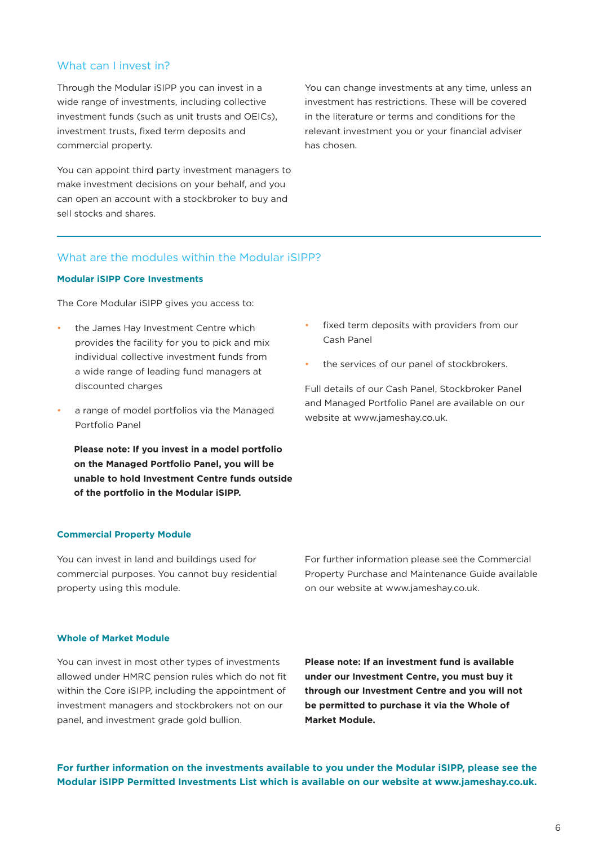#### What can I invest in?

Through the Modular iSIPP you can invest in a wide range of investments, including collective investment funds (such as unit trusts and OEICs), investment trusts, fixed term deposits and commercial property.

You can appoint third party investment managers to make investment decisions on your behalf, and you can open an account with a stockbroker to buy and sell stocks and shares.

You can change investments at any time, unless an investment has restrictions. These will be covered in the literature or terms and conditions for the relevant investment you or your financial adviser has chosen.

#### What are the modules within the Modular iSIPP?

#### **Modular iSIPP Core Investments**

The Core Modular iSIPP gives you access to:

- the James Hay Investment Centre which provides the facility for you to pick and mix individual collective investment funds from a wide range of leading fund managers at discounted charges
- a range of model portfolios via the Managed Portfolio Panel

**Please note: If you invest in a model portfolio on the Managed Portfolio Panel, you will be unable to hold Investment Centre funds outside of the portfolio in the Modular iSIPP.**

#### **Commercial Property Module**

You can invest in land and buildings used for commercial purposes. You cannot buy residential property using this module.

fixed term deposits with providers from our Cash Panel

the services of our panel of stockbrokers.

Full details of our Cash Panel, Stockbroker Panel and Managed Portfolio Panel are available on our website at www.jameshay.co.uk.

For further information please see the Commercial Property Purchase and Maintenance Guide available on our website at www.jameshay.co.uk.

#### **Whole of Market Module**

You can invest in most other types of investments allowed under HMRC pension rules which do not fit within the Core iSIPP, including the appointment of investment managers and stockbrokers not on our panel, and investment grade gold bullion.

**Please note: If an investment fund is available under our Investment Centre, you must buy it through our Investment Centre and you will not be permitted to purchase it via the Whole of Market Module.**

**For further information on the investments available to you under the Modular iSIPP, please see the Modular iSIPP Permitted Investments List which is available on our website at www.jameshay.co.uk.**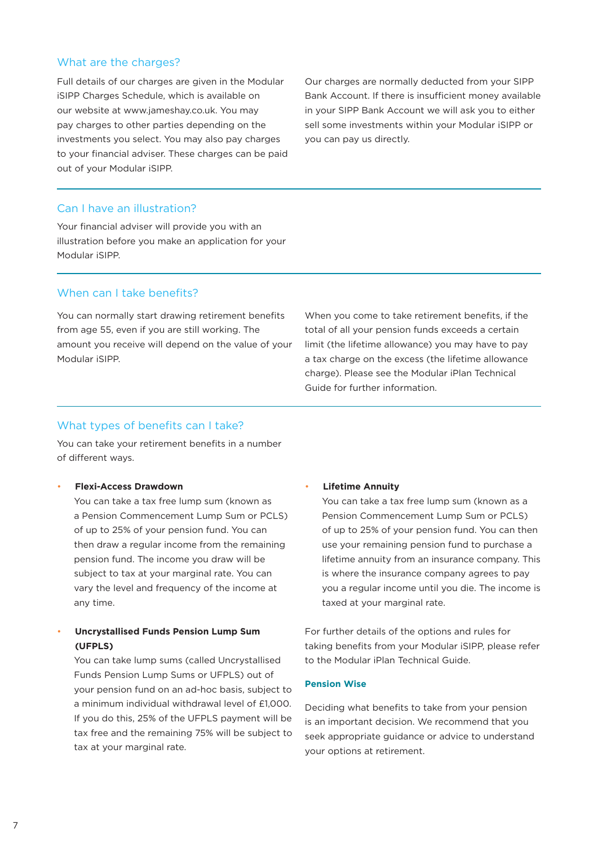#### What are the charges?

Full details of our charges are given in the Modular iSIPP Charges Schedule, which is available on our website at www.jameshay.co.uk. You may pay charges to other parties depending on the investments you select. You may also pay charges to your financial adviser. These charges can be paid out of your Modular iSIPP.

Our charges are normally deducted from your SIPP Bank Account. If there is insufficient money available in your SIPP Bank Account we will ask you to either sell some investments within your Modular iSIPP or you can pay us directly.

#### Can I have an illustration?

Your financial adviser will provide you with an illustration before you make an application for your Modular iSIPP.

#### When can I take benefits?

You can normally start drawing retirement benefits from age 55, even if you are still working. The amount you receive will depend on the value of your Modular iSIPP.

When you come to take retirement benefits, if the total of all your pension funds exceeds a certain limit (the lifetime allowance) you may have to pay a tax charge on the excess (the lifetime allowance charge). Please see the Modular iPlan Technical Guide for further information.

#### What types of benefits can I take?

You can take your retirement benefits in a number of different ways.

#### • **Flexi-Access Drawdown**

You can take a tax free lump sum (known as a Pension Commencement Lump Sum or PCLS) of up to 25% of your pension fund. You can then draw a regular income from the remaining pension fund. The income you draw will be subject to tax at your marginal rate. You can vary the level and frequency of the income at any time.

### • **Uncrystallised Funds Pension Lump Sum (UFPLS)**

You can take lump sums (called Uncrystallised Funds Pension Lump Sums or UFPLS) out of your pension fund on an ad-hoc basis, subject to a minimum individual withdrawal level of £1,000. If you do this, 25% of the UFPLS payment will be tax free and the remaining 75% will be subject to tax at your marginal rate.

#### • **Lifetime Annuity**

You can take a tax free lump sum (known as a Pension Commencement Lump Sum or PCLS) of up to 25% of your pension fund. You can then use your remaining pension fund to purchase a lifetime annuity from an insurance company. This is where the insurance company agrees to pay you a regular income until you die. The income is taxed at your marginal rate.

For further details of the options and rules for taking benefits from your Modular iSIPP, please refer to the Modular iPlan Technical Guide.

#### **Pension Wise**

Deciding what benefits to take from your pension is an important decision. We recommend that you seek appropriate guidance or advice to understand your options at retirement.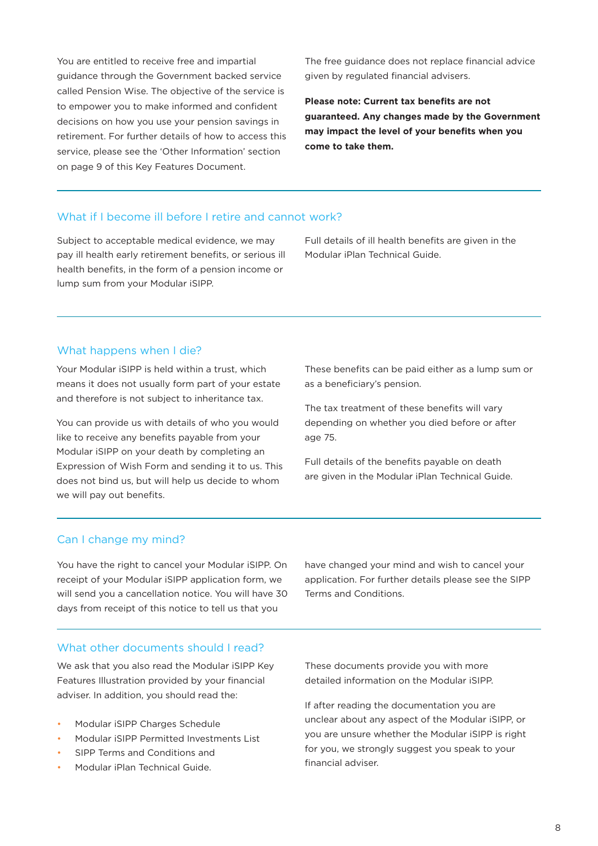You are entitled to receive free and impartial guidance through the Government backed service called Pension Wise. The objective of the service is to empower you to make informed and confident decisions on how you use your pension savings in retirement. For further details of how to access this service, please see the 'Other Information' section on page 9 of this Key Features Document.

The free guidance does not replace financial advice given by regulated financial advisers.

**Please note: Current tax benefits are not guaranteed. Any changes made by the Government may impact the level of your benefits when you come to take them.**

### What if I become ill before I retire and cannot work?

Subject to acceptable medical evidence, we may pay ill health early retirement benefits, or serious ill health benefits, in the form of a pension income or lump sum from your Modular iSIPP.

Full details of ill health benefits are given in the Modular iPlan Technical Guide.

#### What happens when I die?

Your Modular iSIPP is held within a trust, which means it does not usually form part of your estate and therefore is not subject to inheritance tax.

You can provide us with details of who you would like to receive any benefits payable from your Modular iSIPP on your death by completing an Expression of Wish Form and sending it to us. This does not bind us, but will help us decide to whom we will pay out benefits.

These benefits can be paid either as a lump sum or as a beneficiary's pension.

The tax treatment of these benefits will vary depending on whether you died before or after age 75.

Full details of the benefits payable on death are given in the Modular iPlan Technical Guide.

#### Can I change my mind?

You have the right to cancel your Modular iSIPP. On receipt of your Modular iSIPP application form, we will send you a cancellation notice. You will have 30 days from receipt of this notice to tell us that you

have changed your mind and wish to cancel your application. For further details please see the SIPP Terms and Conditions.

#### What other documents should I read?

We ask that you also read the Modular iSIPP Key Features Illustration provided by your financial adviser. In addition, you should read the:

- Modular iSIPP Charges Schedule
- Modular iSIPP Permitted Investments List
- SIPP Terms and Conditions and
- Modular iPlan Technical Guide.

These documents provide you with more detailed information on the Modular iSIPP.

If after reading the documentation you are unclear about any aspect of the Modular iSIPP, or you are unsure whether the Modular iSIPP is right for you, we strongly suggest you speak to your financial adviser.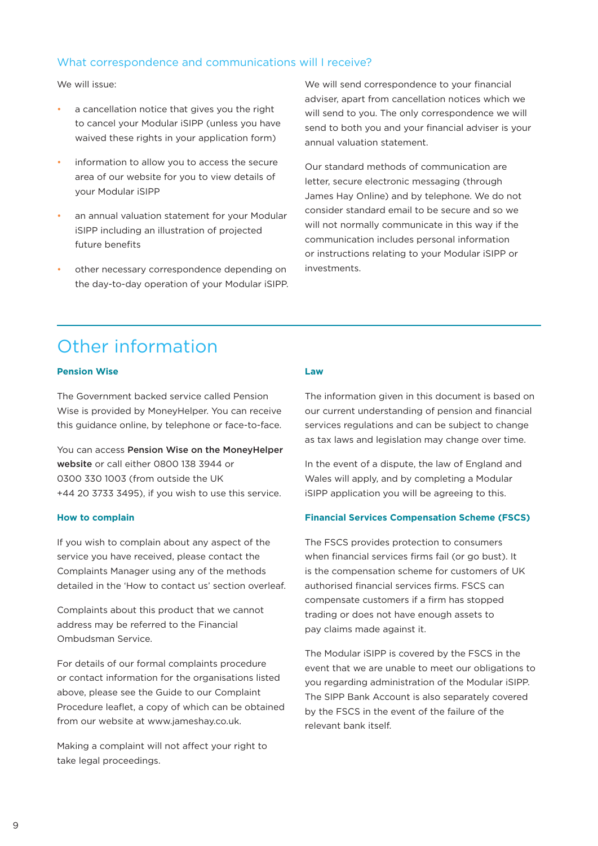#### What correspondence and communications will I receive?

We will issue:

- a cancellation notice that gives you the right to cancel your Modular iSIPP (unless you have waived these rights in your application form)
- information to allow you to access the secure area of our website for you to view details of your Modular iSIPP
- an annual valuation statement for your Modular iSIPP including an illustration of projected future benefits
- other necessary correspondence depending on the day-to-day operation of your Modular iSIPP.

We will send correspondence to your financial adviser, apart from cancellation notices which we will send to you. The only correspondence we will send to both you and your financial adviser is your annual valuation statement.

Our standard methods of communication are letter, secure electronic messaging (through James Hay Online) and by telephone. We do not consider standard email to be secure and so we will not normally communicate in this way if the communication includes personal information or instructions relating to your Modular iSIPP or investments.

# Other information

#### **Pension Wise**

The Government backed service called Pension Wise is provided by MoneyHelper. You can receive this guidance online, by telephone or face-to-face.

You can access [Pension Wise on the MoneyHelper](https://www.moneyhelper.org.uk/en/pensions-and-retirement/pension-wise)  [website](https://www.moneyhelper.org.uk/en/pensions-and-retirement/pension-wise) or call either 0800 138 3944 or 0300 330 1003 (from outside the UK +44 20 3733 3495), if you wish to use this service.

#### **How to complain**

If you wish to complain about any aspect of the service you have received, please contact the Complaints Manager using any of the methods detailed in the 'How to contact us' section overleaf.

Complaints about this product that we cannot address may be referred to the Financial Ombudsman Service.

For details of our formal complaints procedure or contact information for the organisations listed above, please see the Guide to our Complaint Procedure leaflet, a copy of which can be obtained from our website at www.jameshay.co.uk.

Making a complaint will not affect your right to take legal proceedings.

#### **Law**

The information given in this document is based on our current understanding of pension and financial services regulations and can be subject to change as tax laws and legislation may change over time.

In the event of a dispute, the law of England and Wales will apply, and by completing a Modular iSIPP application you will be agreeing to this.

#### **Financial Services Compensation Scheme (FSCS)**

The FSCS provides protection to consumers when financial services firms fail (or go bust). It is the compensation scheme for customers of UK authorised financial services firms. FSCS can compensate customers if a firm has stopped trading or does not have enough assets to pay claims made against it.

The Modular iSIPP is covered by the FSCS in the event that we are unable to meet our obligations to you regarding administration of the Modular iSIPP. The SIPP Bank Account is also separately covered by the FSCS in the event of the failure of the relevant bank itself.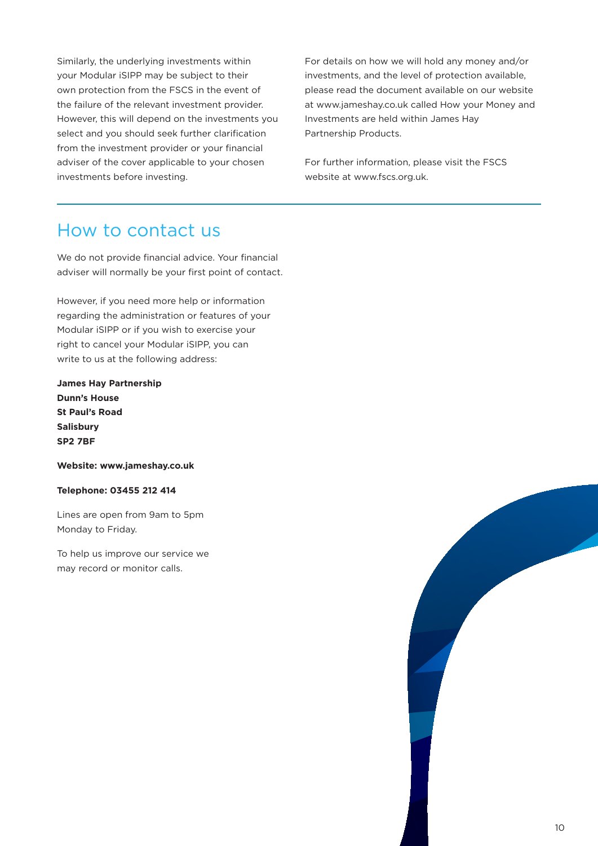Similarly, the underlying investments within your Modular iSIPP may be subject to their own protection from the FSCS in the event of the failure of the relevant investment provider. However, this will depend on the investments you select and you should seek further clarification from the investment provider or your financial adviser of the cover applicable to your chosen investments before investing.

For details on how we will hold any money and/or investments, and the level of protection available, please read the document available on our website at www.jameshay.co.uk called How your Money and Investments are held within James Hay Partnership Products.

For further information, please visit the FSCS website at www.fscs.org.uk.

### How to contact us

We do not provide financial advice. Your financial adviser will normally be your first point of contact.

However, if you need more help or information regarding the administration or features of your Modular iSIPP or if you wish to exercise your right to cancel your Modular iSIPP, you can write to us at the following address:

**James Hay Partnership Dunn's House St Paul's Road Salisbury SP2 7BF**

**Website: www.jameshay.co.uk**

**Telephone: 03455 212 414**

Lines are open from 9am to 5pm Monday to Friday.

To help us improve our service we may record or monitor calls.